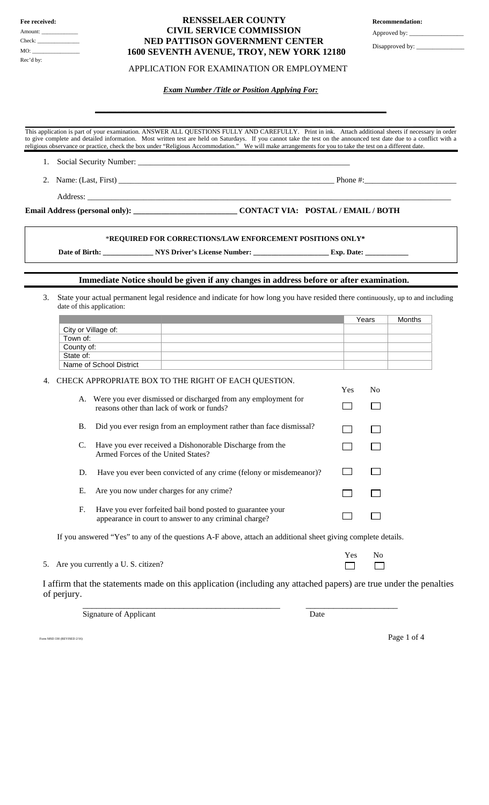| Fee received: |  |  |  |  |
|---------------|--|--|--|--|
| Amount:       |  |  |  |  |
| Check:        |  |  |  |  |
|               |  |  |  |  |
| Rec'd by:     |  |  |  |  |

## **RENSSELAER COUNTY CIVIL SERVICE COMMISSION NED PATTISON GOVERNMENT CENTER 1600 SEVENTH AVENUE, TROY, NEW YORK 12180**

## APPLICATION FOR EXAMINATION OR EMPLOYMENT

 *Exam Number /Title or Position Applying For:* 

**\_\_\_\_\_\_\_\_\_\_\_\_\_\_\_\_\_\_\_\_\_\_\_\_\_\_\_\_\_\_\_\_\_\_\_\_\_\_\_\_\_\_\_\_\_\_\_\_\_\_\_\_\_\_\_\_\_\_\_\_\_\_\_\_\_\_\_\_\_\_\_\_\_\_\_\_\_\_\_\_\_**

 $\_$  , and the set of the set of the set of the set of the set of the set of the set of the set of the set of the set of the set of the set of the set of the set of the set of the set of the set of the set of the set of th This application is part of your examination. ANSWER ALL QUESTIONS FULLY AND CAREFULLY. Print in ink. Attach additional sheets if necessary in order to give complete and detailed information. Most written test are held on Saturdays. If you cannot take the test on the announced test date due to a conflict with a religious observance or practice, check the box under "Religious Accommodation." We will make arrangements for you to take the test on a different date.

- 1. Social Security Number:
- 2. Name: (Last, First) **Dependent Contains and Contains and Phone #:**

Address: \_\_\_\_\_\_\_\_\_\_\_\_\_\_\_\_\_\_\_\_\_\_\_\_\_\_\_\_\_\_\_\_\_\_\_\_\_\_\_\_\_\_\_\_\_\_\_\_\_\_\_\_\_\_\_\_\_\_\_\_\_\_\_\_\_\_\_\_\_\_\_\_\_\_\_\_\_\_\_\_\_\_\_\_\_\_\_\_\_\_\_

I

# **Email Address (personal only): \_\_\_\_\_\_\_\_\_\_\_\_\_\_\_\_\_\_\_\_\_\_\_\_\_\_ CONTACT VIA: POSTAL / EMAIL / BOTH**

### \***REQUIRED FOR CORRECTIONS/LAW ENFORCEMENT POSITIONS ONLY\***

Date of Birth: \_\_\_\_\_\_\_\_\_\_\_\_\_\_\_\_ NYS Driver's License Number: \_\_\_\_\_\_\_\_\_\_\_\_\_\_\_\_\_\_\_\_\_\_\_\_\_ Exp. Date: \_

## **Immediate Notice should be given if any changes in address before or after examination.**

3. State your actual permanent legal residence and indicate for how long you have resided there continuously, up to and including date of this application:

|    |                                                                                                                                                                                                                                                                                                                                                                                                                                                                                                                                                                                                                                                                                                                         |     | Years          | Months |
|----|-------------------------------------------------------------------------------------------------------------------------------------------------------------------------------------------------------------------------------------------------------------------------------------------------------------------------------------------------------------------------------------------------------------------------------------------------------------------------------------------------------------------------------------------------------------------------------------------------------------------------------------------------------------------------------------------------------------------------|-----|----------------|--------|
|    |                                                                                                                                                                                                                                                                                                                                                                                                                                                                                                                                                                                                                                                                                                                         |     |                |        |
|    |                                                                                                                                                                                                                                                                                                                                                                                                                                                                                                                                                                                                                                                                                                                         |     |                |        |
|    |                                                                                                                                                                                                                                                                                                                                                                                                                                                                                                                                                                                                                                                                                                                         |     |                |        |
|    |                                                                                                                                                                                                                                                                                                                                                                                                                                                                                                                                                                                                                                                                                                                         |     |                |        |
|    |                                                                                                                                                                                                                                                                                                                                                                                                                                                                                                                                                                                                                                                                                                                         |     |                |        |
| 4. |                                                                                                                                                                                                                                                                                                                                                                                                                                                                                                                                                                                                                                                                                                                         |     |                |        |
|    |                                                                                                                                                                                                                                                                                                                                                                                                                                                                                                                                                                                                                                                                                                                         | Yes | N <sub>0</sub> |        |
|    | City or Village of:<br>Town of:<br>County of:<br>State of:<br>Name of School District<br>CHECK APPROPRIATE BOX TO THE RIGHT OF EACH QUESTION.<br>Were you ever dismissed or discharged from any employment for<br>A.<br>reasons other than lack of work or funds?<br>Did you ever resign from an employment rather than face dismissal?<br><b>B.</b><br>Have you ever received a Dishonorable Discharge from the<br>C.<br>Armed Forces of the United States?<br>Have you ever been convicted of any crime (felony or misdemeanor)?<br>D.<br>Ε.<br>Are you now under charges for any crime?<br>Have you ever forfeited bail bond posted to guarantee your<br>F.<br>appearance in court to answer to any criminal charge? |     |                |        |
|    |                                                                                                                                                                                                                                                                                                                                                                                                                                                                                                                                                                                                                                                                                                                         |     |                |        |
|    |                                                                                                                                                                                                                                                                                                                                                                                                                                                                                                                                                                                                                                                                                                                         |     |                |        |
|    |                                                                                                                                                                                                                                                                                                                                                                                                                                                                                                                                                                                                                                                                                                                         |     |                |        |
|    |                                                                                                                                                                                                                                                                                                                                                                                                                                                                                                                                                                                                                                                                                                                         |     |                |        |
|    |                                                                                                                                                                                                                                                                                                                                                                                                                                                                                                                                                                                                                                                                                                                         |     |                |        |

If you answered "Yes" to any of the questions A-F above, attach an additional sheet giving complete details.

|                                      | Yes No |  |
|--------------------------------------|--------|--|
| 5. Are you currently a U.S. citizen? |        |  |

I affirm that the statements made on this application (including any attached papers) are true under the penalties of perjury.

Signature of Applicant Date

Form MSD 330 (REVISED 2/16)  $\bf{Page\ 1\ of\ 4}$ 

**Recommendation:** 

Approved by: \_

Disapproved by:

\_\_\_\_\_\_\_\_\_\_\_\_\_\_\_\_\_\_\_\_\_\_\_\_\_\_\_\_\_\_\_\_\_\_\_\_\_\_\_\_\_\_\_ \_\_\_\_\_\_\_\_\_\_\_\_\_\_\_\_\_\_\_\_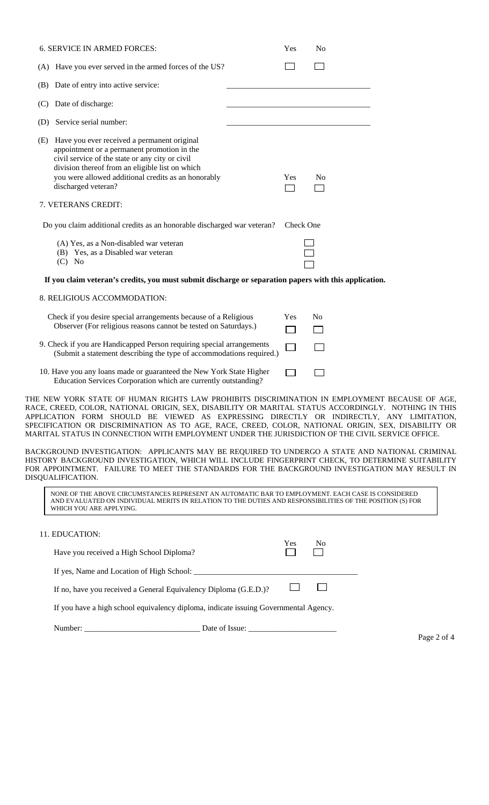| <b>6. SERVICE IN ARMED FORCES:</b>                                                                                                                                                                                                                                                                        | Yes        | N <sub>o</sub> |
|-----------------------------------------------------------------------------------------------------------------------------------------------------------------------------------------------------------------------------------------------------------------------------------------------------------|------------|----------------|
| (A) Have you ever served in the armed forces of the US?                                                                                                                                                                                                                                                   |            |                |
| (B) Date of entry into active service:                                                                                                                                                                                                                                                                    |            |                |
| (C) Date of discharge:                                                                                                                                                                                                                                                                                    |            |                |
| (D) Service serial number:                                                                                                                                                                                                                                                                                |            |                |
| (E) Have you ever received a permanent original<br>appointment or a permanent promotion in the<br>civil service of the state or any city or civil<br>division thereof from an eligible list on which<br>you were allowed additional credits as an honorably<br>discharged veteran?<br>7. VETERANS CREDIT: | <b>Yes</b> | N <sub>0</sub> |
| Do you claim additional credits as an honorable discharged war veteran?                                                                                                                                                                                                                                   | Check One  |                |
| (A) Yes, as a Non-disabled war veteran<br>(B) Yes, as a Disabled war veteran<br>$(C)$ No                                                                                                                                                                                                                  |            |                |
| If you claim veteran's credits, you must submit discharge or separation papers with this application.                                                                                                                                                                                                     |            |                |
| 8. RELIGIOUS ACCOMMODATION:                                                                                                                                                                                                                                                                               |            |                |
| Check if you desire special arrangements because of a Religious<br>Observer (For religious reasons cannot be tested on Saturdays.)                                                                                                                                                                        | Yes<br>J.  | N <sub>0</sub> |
| 9. Check if you are Handicapped Person requiring special arrangements<br>(Submit a statement describing the type of accommodations required.)                                                                                                                                                             |            |                |
| 10. Have you any loans made or guaranteed the New York State Higher<br>Education Services Corporation which are currently outstanding?                                                                                                                                                                    |            |                |
| THE NEW YORK STATE OF HUMAN RIGHTS LAW PROHIBITS DISCRIMINATION IN EMPLOYMENT<br>RACE, CREED, COLOR, NATIONAL ORIGIN, SEX, DISABILITY OR MARITAL STATUS ACCORDINGLY.<br>ADDITIONERAN CONTACTION OF UTUTTO AC EVANDOCUTO NINEGELY                                                                          |            |                |

THE NEW YORK STATE OF HUMAN RIGHTS LAW PROHIBITS DISCRIMINATION IN EMPLOYMENT BECAUSE OF AGE, RACE, CREED, COLOR, NATIONAL ORIGIN, SEX, DISABILITY OR MARITAL STATUS ACCORDINGLY. NOTHING IN THIS RACE, CREED, COLOR, NATIONAL ORIGIN, SEX, DISABILITY OR MARITAL STATUS ACCORDINGLY. NOTHING IN THIS APPLICATION FORM SHOULD BE VIEWED AS EXPRESSING DIRECTLY OR INDIRECTLY, ANY LIMITATION, SPECIFICATION OR DISCRIMINATION AS TO AGE, RACE, CREED, COLOR, NATIONAL ORIGIN, SEX, DISABILITY OR MARITAL STATUS IN CONNECTION WITH EMPLOYMENT UNDER THE JURISDICTION OF THE CIVIL SERVICE OFFICE.

BACKGROUND INVESTIGATION: APPLICANTS MAY BE REQUIRED TO UNDERGO A STATE AND NATIONAL CRIMINAL HISTORY BACKGROUND INVESTIGATION, WHICH WILL INCLUDE FINGERPRINT CHECK, TO DETERMINE SUITABILITY FOR APPOINTMENT. FAILURE TO MEET THE STANDARDS FOR THE BACKGROUND INVESTIGATION MAY RESULT IN DISQUALIFICATION.

| NONE OF THE ABOVE CIRCUMSTANCES REPRESENT AN AUTOMATIC BAR TO EMPLOYMENT. EACH CASE IS CONSIDERED         |  |
|-----------------------------------------------------------------------------------------------------------|--|
| AND EVALUATED ON INDIVIDUAL MERITS IN RELATION TO THE DUTIES AND RESPONSIBILITIES OF THE POSITION (S) FOR |  |
| WHICH YOU ARE APPLYING.                                                                                   |  |

| 11. EDUCATION:                                                                       |     |                |  |  |  |
|--------------------------------------------------------------------------------------|-----|----------------|--|--|--|
| Have you received a High School Diploma?                                             | Yes | N <sub>0</sub> |  |  |  |
| If yes, Name and Location of High School:                                            |     |                |  |  |  |
| If no, have you received a General Equivalency Diploma (G.E.D.)?                     |     |                |  |  |  |
| If you have a high school equivalency diploma, indicate issuing Governmental Agency. |     |                |  |  |  |
|                                                                                      |     |                |  |  |  |

Page 2 of 4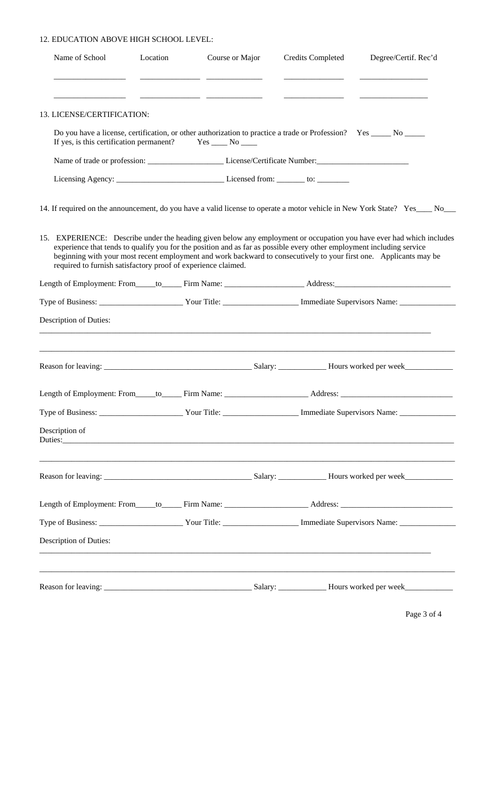#### 12. EDUCATION ABOVE HIGH SCHOOL LEVEL:

| Name of School                                                | Location | Course or Major |  | <b>Credits Completed</b> | Degree/Certif. Rec'd                                                                                                                                                                                                                                                                                                                                                |
|---------------------------------------------------------------|----------|-----------------|--|--------------------------|---------------------------------------------------------------------------------------------------------------------------------------------------------------------------------------------------------------------------------------------------------------------------------------------------------------------------------------------------------------------|
|                                                               |          |                 |  |                          |                                                                                                                                                                                                                                                                                                                                                                     |
| 13. LICENSE/CERTIFICATION:                                    |          |                 |  |                          |                                                                                                                                                                                                                                                                                                                                                                     |
| If yes, is this certification permanent? $Yes \_\_No \_\_No$  |          |                 |  |                          | Do you have a license, certification, or other authorization to practice a trade or Profession? Yes _____ No _____                                                                                                                                                                                                                                                  |
|                                                               |          |                 |  |                          |                                                                                                                                                                                                                                                                                                                                                                     |
|                                                               |          |                 |  |                          |                                                                                                                                                                                                                                                                                                                                                                     |
|                                                               |          |                 |  |                          | 14. If required on the announcement, do you have a valid license to operate a motor vehicle in New York State? Yes ____ No___                                                                                                                                                                                                                                       |
| required to furnish satisfactory proof of experience claimed. |          |                 |  |                          | 15. EXPERIENCE: Describe under the heading given below any employment or occupation you have ever had which includes<br>experience that tends to qualify you for the position and as far as possible every other employment including service<br>beginning with your most recent employment and work backward to consecutively to your first one. Applicants may be |
|                                                               |          |                 |  |                          | Length of Employment: From_____to______Firm Name: _________________________Address: __________________________                                                                                                                                                                                                                                                      |
|                                                               |          |                 |  |                          |                                                                                                                                                                                                                                                                                                                                                                     |
| Description of Duties:                                        |          |                 |  |                          |                                                                                                                                                                                                                                                                                                                                                                     |
|                                                               |          |                 |  |                          |                                                                                                                                                                                                                                                                                                                                                                     |
|                                                               |          |                 |  |                          | Length of Employment: From_____to______Firm Name: _________________________Address: __________________________                                                                                                                                                                                                                                                      |
|                                                               |          |                 |  |                          |                                                                                                                                                                                                                                                                                                                                                                     |
| Description of                                                |          |                 |  |                          | Duties: New York Contract to the Contract of the Contract of the Contract of the Contract of the Contract of the Contract of the Contract of the Contract of the Contract of the Contract of the Contract of the Contract of t                                                                                                                                      |
|                                                               |          |                 |  |                          |                                                                                                                                                                                                                                                                                                                                                                     |
|                                                               |          |                 |  |                          | Length of Employment: From_____to______Firm Name: _________________________Address: __________________________                                                                                                                                                                                                                                                      |
|                                                               |          |                 |  |                          |                                                                                                                                                                                                                                                                                                                                                                     |
| <b>Description of Duties:</b>                                 |          |                 |  |                          |                                                                                                                                                                                                                                                                                                                                                                     |
|                                                               |          |                 |  |                          |                                                                                                                                                                                                                                                                                                                                                                     |

Page 3 of 4